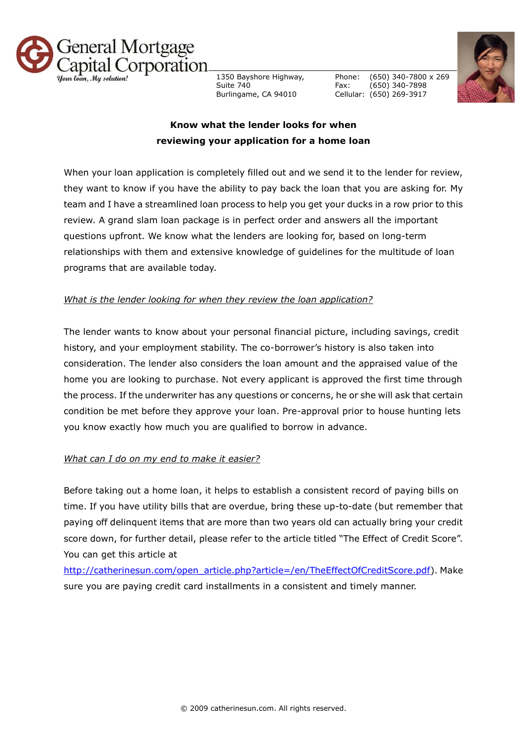

1350 Bayshore Highway, Suite 740 Burlingame, CA 94010

Phone: Fax: Cellular: (650) 269-3917 (650) 340-7800 x 269 (650) 340-7898



## **Know what the lender looks for when reviewing your application for a home loan**

When your loan application is completely filled out and we send it to the lender for review, they want to know if you have the ability to pay back the loan that you are asking for. My team and I have a streamlined loan process to help you get your ducks in a row prior to this review. A grand slam loan package is in perfect order and answers all the important questions upfront. We know what the lenders are looking for, based on long-term relationships with them and extensive knowledge of guidelines for the multitude of loan programs that are available today.

## *What is the lender looking for when they review the loan application?*

The lender wants to know about your personal financial picture, including savings, credit history, and your employment stability. The co-borrower's history is also taken into consideration. The lender also considers the loan amount and the appraised value of the home you are looking to purchase. Not every applicant is approved the first time through the process. If the underwriter has any questions or concerns, he or she will ask that certain condition be met before they approve your loan. Pre-approval prior to house hunting lets you know exactly how much you are qualified to borrow in advance.

## *What can I do on my end to make it easier?*

Before taking out a home loan, it helps to establish a consistent record of paying bills on time. If you have utility bills that are overdue, bring these up-to-date (but remember that paying off delinquent items that are more than two years old can actually bring your credit score down, for further detail, please refer to the article titled "The Effect of Credit Score". You can get this article at

[http://catherinesun.com/open\\_article.php?article=/en/TheEffectOfCreditScore.pdf\)](http://catherinesun.com/open_article.php?article=/en/TheEffectOfCreditScore.pdf). Make sure you are paying credit card installments in a consistent and timely manner.